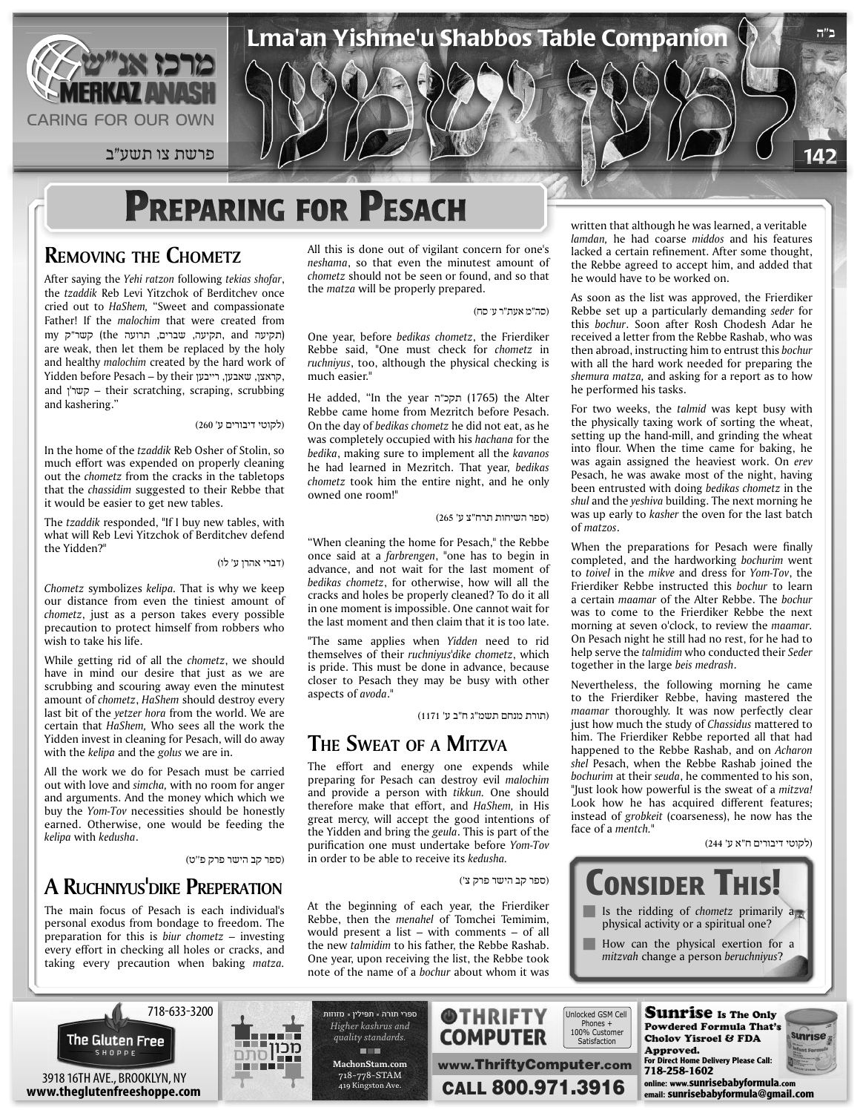

142 פרשת צו תשע״ב  $\mathcal{V} \cup \mathcal{V}$  פרשת צו תשע״ב  $\mathcal{V} \cup \mathcal{V}$  פרשת צו תשע״ב

# **PREPARING FOR PESACH**

#### **REMOVING THE CHOMETZ**

After saying the Yehi ratzon following tekias shofar, the tzaddik Reb Levi Yitzchok of Berditchev once cried out to *HaShem*, "Sweet and compassionate Father! If the *malochim* that were created from (תקיעה and ,תקיעה, שברים, תרועה the (קשר"ק my are weak, then let them be replaced by the holy and healthy malochim created by the hard work of Yidden before Pesach – by their קראצן, שאבען, רייבען, and  $\eta$ שר'ן – their scratching, scraping, scrubbing and kashering."

#### (לקוטי דיבורים ע' 260)

In the home of the *tzaddik* Reb Osher of Stolin, so much effort was expended on properly cleaning out the *chometz* from the cracks in the tabletops that the *chassidim* suggested to their Rebbe that it would be easier to get new tables.

The *tzaddik* responded, "If I buy new tables, with what will Reb Levi Yitzchok of Berditchev defend the Yidden?"

(דברי אהרן ע' לו)

Chometz symbolizes *kelipa*. That is why we keep our distance from even the tiniest amount of chometz, just as a person takes every possible precaution to protect himself from robbers who wish to take his life.

While getting rid of all the *chometz*, we should have in mind our desire that just as we are scrubbing and scouring away even the minutest amount of *chometz*, *HaShem* should destroy every last bit of the *yetzer hora* from the world. We are certain that HaShem, Who sees all the work the Yidden invest in cleaning for Pesach, will do away with the *kelipa* and the golus we are in.

All the work we do for Pesach must be carried out with love and *simcha*, with no room for anger and arguments. And the money which which we buy the Yom-Tov necessities should be honestly earned. Otherwise, one would be feeding the .*kedusha* with *kelipa*

(ספר קב הישר פרק פ''ט)

### **A RUCHNIYUS DIKE PREPERATION**

The main focus of Pesach is each individual's personal exodus from bondage to freedom. The preparation for this is *biur* chometz - investing every effort in checking all holes or cracks, and taking every precaution when baking matza. All this is done out of vigilant concern for one's neshama, so that even the minutest amount of chometz should not be seen or found, and so that the *matza* will be properly prepared.

(סה"מ אעת"ר ע' סח)

Lma'an Yishme'u Shabbos Table Companion

One year, before *bedikas chometz*, the Frierdiker Rebbe said, "One must check for chometz in ruchniyus, too, although the physical checking is much easier."

He added, "In the year תקכ"ה (1765) the Alter Rebbe came home from Mezritch before Pesach. On the day of *bedikas chometz* he did not eat, as he was completely occupied with his hachana for the *hedika*, making sure to implement all the kavanos he had learned in Mezritch. That year, bedikas chometz took him the entire night, and he only owned one room!"

(ספר השיחות תרח"צ ע' 265)

" When cleaning the home for Pesach," the Rebbe once said at a *farbrengen*, "one has to begin in advance, and not wait for the last moment of bedikas chometz, for otherwise, how will all the cracks and holes be properly cleaned? To do it all in one moment is impossible. One cannot wait for the last moment and then claim that it is too late.

"The same applies when Yidden need to rid themselves of their ruchniyus'dike chometz, which is pride. This must be done in advance, because closer to Pesach they may be busy with other aspects of avoda."

(תורת מנחם תשמ"ג ח"ב ע' 1171)

#### **THE SWEAT OF A MITZVA**

The effort and energy one expends while preparing for Pesach can destroy evil *malochim* and provide a person with tikkun. One should therefore make that effort, and *HaShem*, in His great mercy, will accept the good intentions of the Yidden and bring the *geula*. This is part of the purification one must undertake before Yom-Tov *in order to be able to receive its kedusha.* 

(ספר קב הישר פרק צ')

written that although he was learned, a veritable *lamdan*, he had coarse *middos* and his features lacked a certain refinement. After some thought, the Rebbe agreed to accept him, and added that he would have to be worked on.

**ב"ה**

As soon as the list was approved, the Frierdiker Rebbe set up a particularly demanding seder for this bochur. Soon after Rosh Chodesh Adar he received a letter from the Rebbe Rashab, who was then abroad, instructing him to entrust this bochur with all the hard work needed for preparing the shemura matza, and asking for a report as to how he performed his tasks.

For two weeks, the talmid was kept busy with the physically taxing work of sorting the wheat, setting up the hand-mill, and grinding the wheat into flour. When the time came for baking, he was again assigned the heaviest work. On erev Pesach, he was awake most of the night, having been entrusted with doing bedikas chometz in the shul and the *yeshiva* building. The next morning he was up early to *kasher* the oven for the last batch of matzos.

When the preparations for Pesach were finally completed, and the hardworking bochurim went to toivel in the mikve and dress for *Yom-Tov*, the Frierdiker Rebbe instructed this bochur to learn a certain *maamar* of the Alter Rebbe. The bochur was to come to the Frierdiker Rebbe the next morning at seven o'clock, to review the *maamar*. On Pesach night he still had no rest, for he had to help serve the *talmidim* who conducted their Seder together in the large beis medrash.

Nevertheless, the following morning he came to the Frierdiker Rebbe, having mastered the maamar thoroughly. It was now perfectly clear just how much the study of Chassidus mattered to him. The Frierdiker Rebbe reported all that had happened to the Rebbe Rashab, and on Acharon shel Pesach, when the Rebbe Rashab joined the bochurim at their seuda, he commented to his son, "Just look how powerful is the sweat of a mitzva! Look how he has acquired different features; instead of *grobkeit* (coarseness), he now has the face of a *mentch* "

(לקוטי דיבורים ח"א ע' 244)





718-633-3200